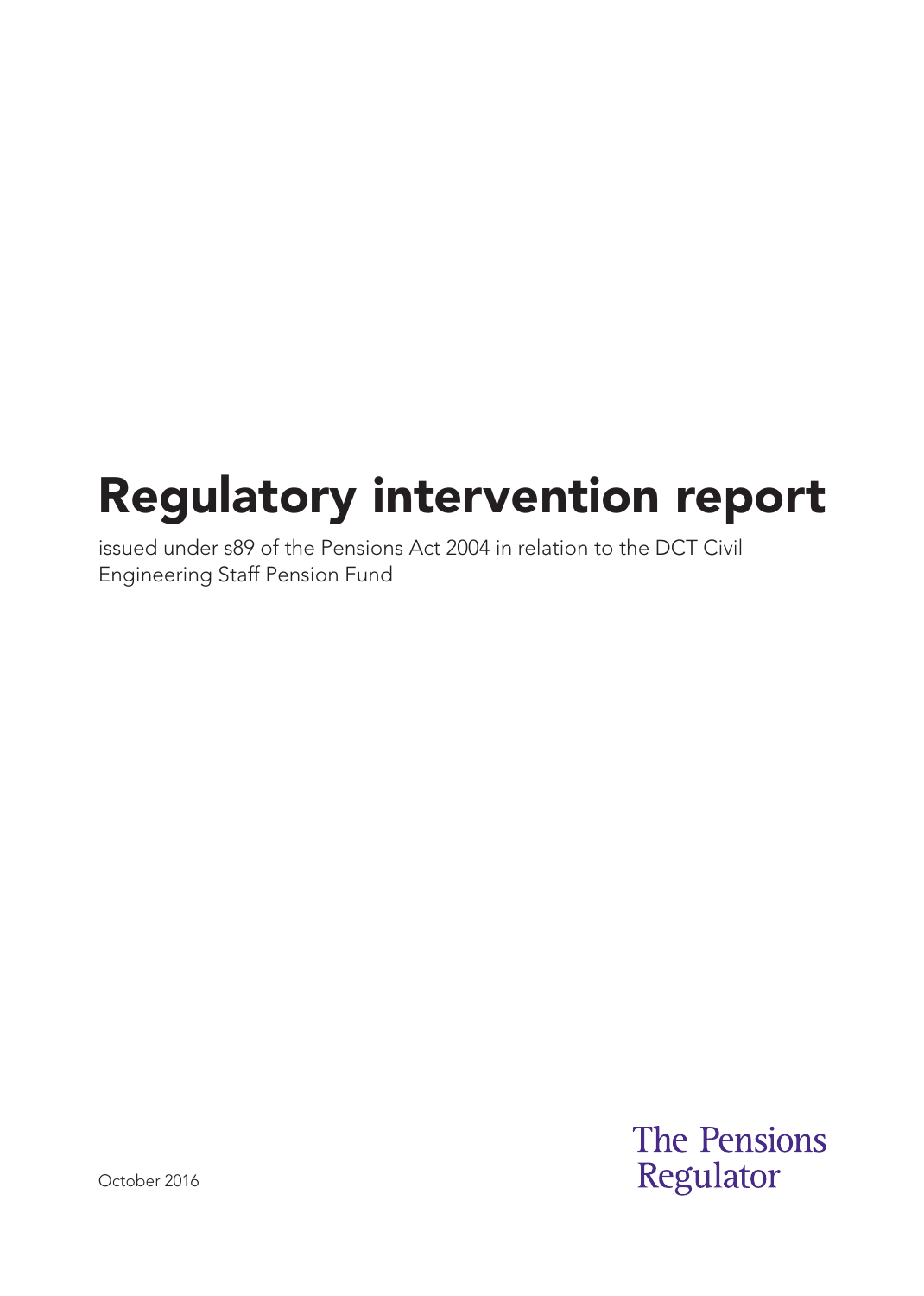# Regulatory intervention report

issued under s89 of the Pensions Act 2004 in relation to the DCT Civil Engineering Staff Pension Fund

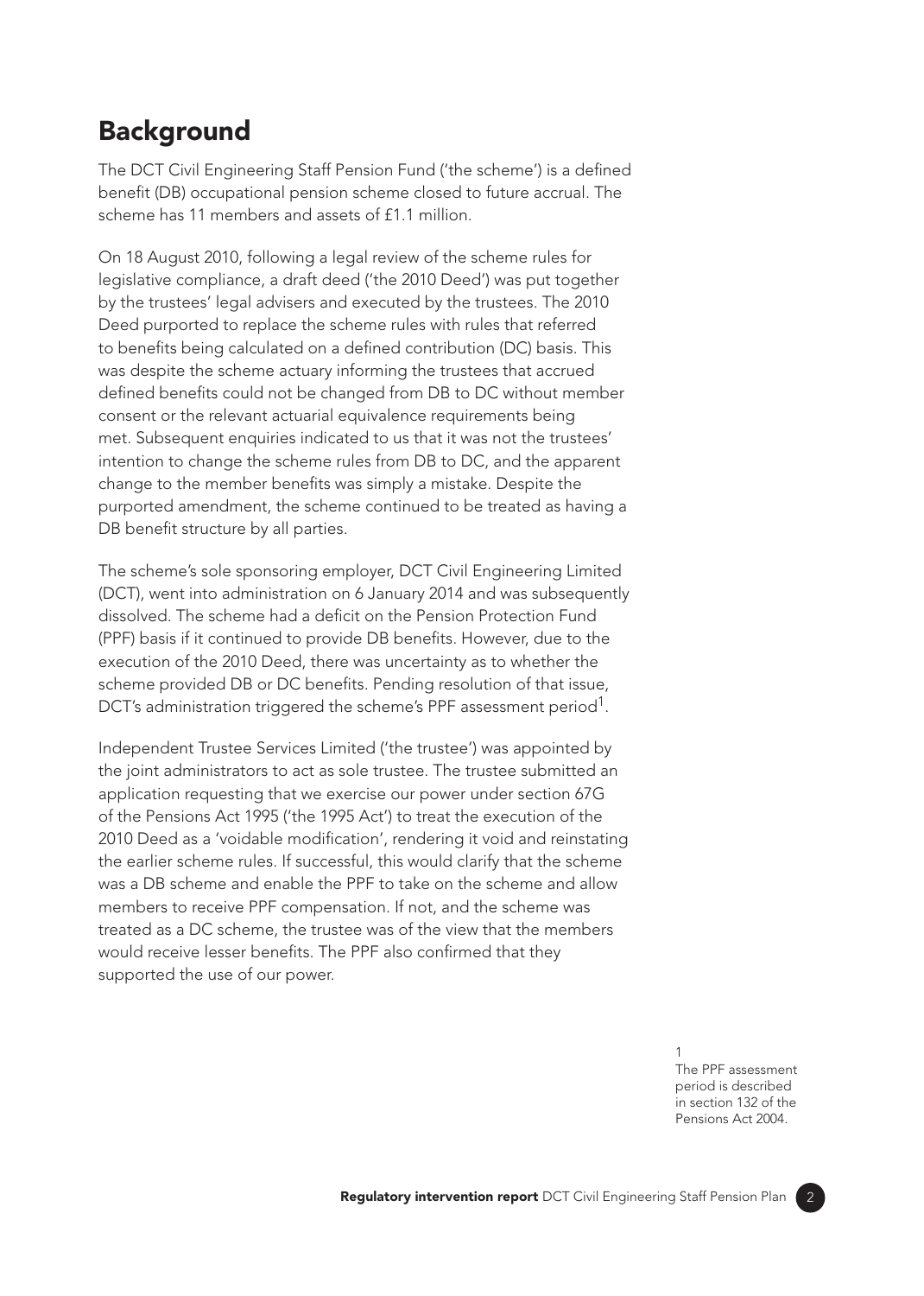## **Background**

The DCT Civil Engineering Staff Pension Fund ('the scheme') is a defined benefit (DB) occupational pension scheme closed to future accrual. The scheme has 11 members and assets of £1.1 million.

On 18 August 2010, following a legal review of the scheme rules for legislative compliance, a draft deed ('the 2010 Deed') was put together by the trustees' legal advisers and executed by the trustees. The 2010 Deed purported to replace the scheme rules with rules that referred to benefits being calculated on a defined contribution (DC) basis. This was despite the scheme actuary informing the trustees that accrued defined benefits could not be changed from DB to DC without member consent or the relevant actuarial equivalence requirements being met. Subsequent enquiries indicated to us that it was not the trustees' intention to change the scheme rules from DB to DC, and the apparent change to the member benefits was simply a mistake. Despite the purported amendment, the scheme continued to be treated as having a DB benefit structure by all parties.

The scheme's sole sponsoring employer, DCT Civil Engineering Limited (DCT), went into administration on 6 January 2014 and was subsequently dissolved. The scheme had a deficit on the Pension Protection Fund (PPF) basis if it continued to provide DB benefits. However, due to the execution of the 2010 Deed, there was uncertainty as to whether the scheme provided DB or DC benefits. Pending resolution of that issue, DCT's administration triggered the scheme's PPF assessment period<sup>1</sup>.

Independent Trustee Services Limited ('the trustee') was appointed by the joint administrators to act as sole trustee. The trustee submitted an application requesting that we exercise our power under section 67G of the Pensions Act 1995 ('the 1995 Act') to treat the execution of the 2010 Deed as a 'voidable modification', rendering it void and reinstating the earlier scheme rules. If successful, this would clarify that the scheme was a DB scheme and enable the PPF to take on the scheme and allow members to receive PPF compensation. If not, and the scheme was treated as a DC scheme, the trustee was of the view that the members would receive lesser benefits. The PPF also confirmed that they supported the use of our power.

> 1 The PPF assessment period is described in section 132 of the Pensions Act 2004.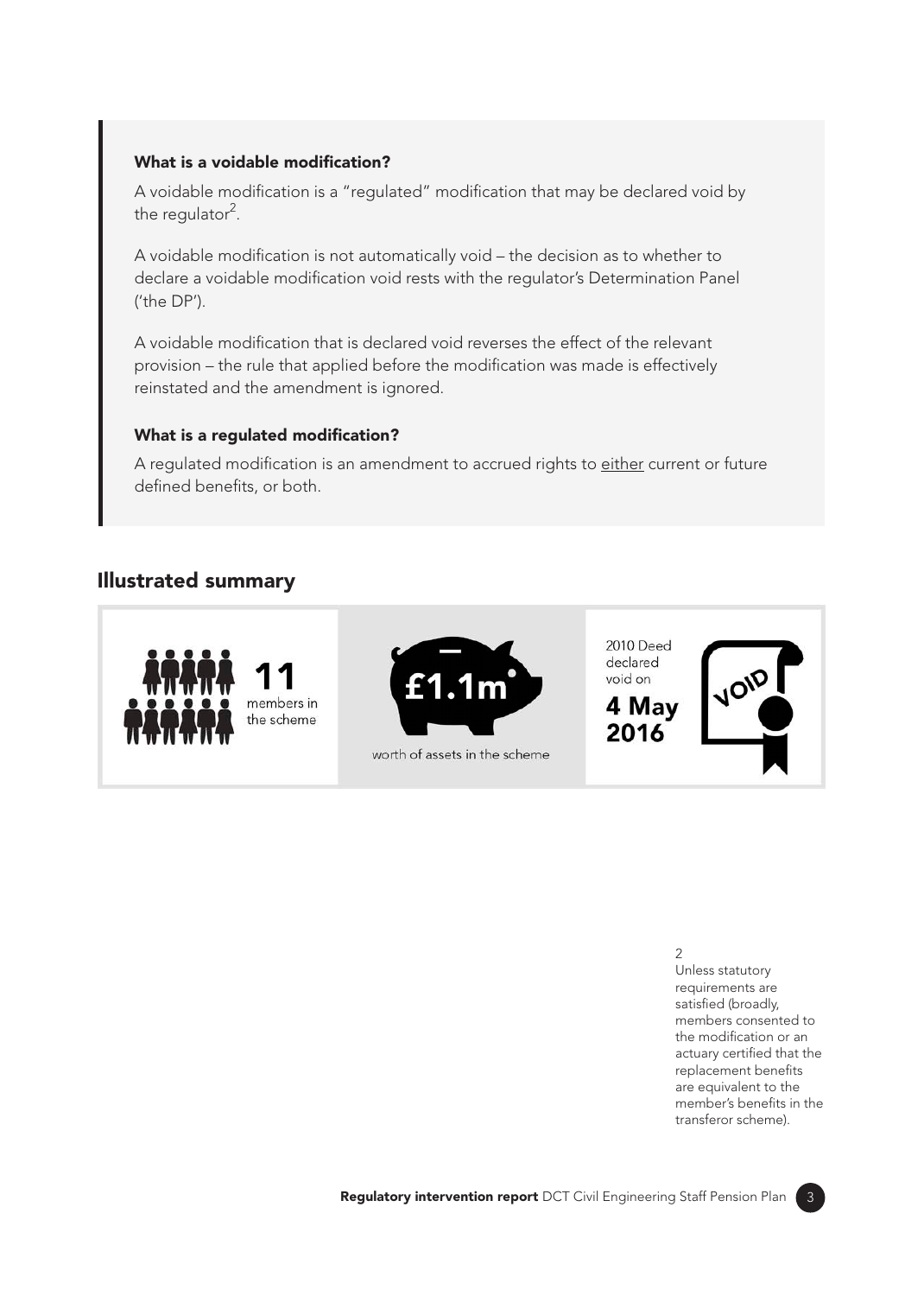### What is a voidable modification?

A voidable modification is a "regulated" modification that may be declared void by the regulator<sup>2</sup>.

A voidable modification is not automatically void – the decision as to whether to declare a voidable modification void rests with the regulator's Determination Panel ('the DP').

A voidable modification that is declared void reverses the effect of the relevant provision – the rule that applied before the modification was made is effectively reinstated and the amendment is ignored.

#### What is a regulated modification?

A regulated modification is an amendment to accrued rights to either current or future defined benefits, or both.

## Illustrated summary





worth of assets in the scheme

**2010 Deed** declared void on 4 May

2016



2 Unless statutory requirements are satisfied (broadly, members consented to the modification or an actuary certified that the replacement benefits are equivalent to the member's benefits in the transferor scheme).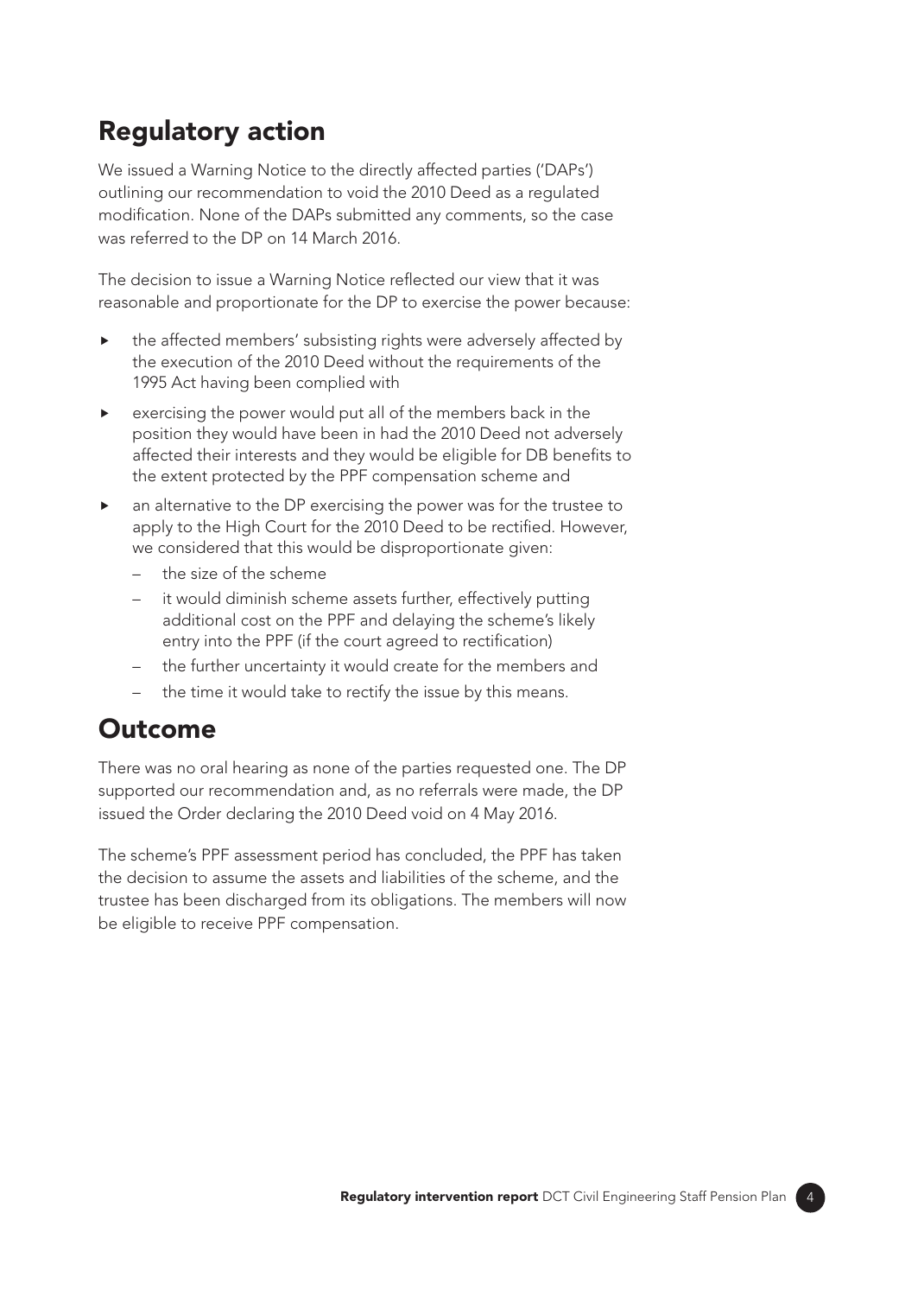# Regulatory action

We issued a Warning Notice to the directly affected parties ('DAPs') outlining our recommendation to void the 2010 Deed as a regulated modification. None of the DAPs submitted any comments, so the case was referred to the DP on 14 March 2016.

The decision to issue a Warning Notice reflected our view that it was reasonable and proportionate for the DP to exercise the power because:

- the affected members' subsisting rights were adversely affected by the execution of the 2010 Deed without the requirements of the 1995 Act having been complied with
- exercising the power would put all of the members back in the position they would have been in had the 2010 Deed not adversely affected their interests and they would be eligible for DB benefits to the extent protected by the PPF compensation scheme and
- an alternative to the DP exercising the power was for the trustee to apply to the High Court for the 2010 Deed to be rectified. However, we considered that this would be disproportionate given:
	- the size of the scheme
	- it would diminish scheme assets further, effectively putting additional cost on the PPF and delaying the scheme's likely entry into the PPF (if the court agreed to rectification)
	- the further uncertainty it would create for the members and
	- the time it would take to rectify the issue by this means.

## Outcome

There was no oral hearing as none of the parties requested one. The DP supported our recommendation and, as no referrals were made, the DP issued the Order declaring the 2010 Deed void on 4 May 2016.

The scheme's PPF assessment period has concluded, the PPF has taken the decision to assume the assets and liabilities of the scheme, and the trustee has been discharged from its obligations. The members will now be eligible to receive PPF compensation.